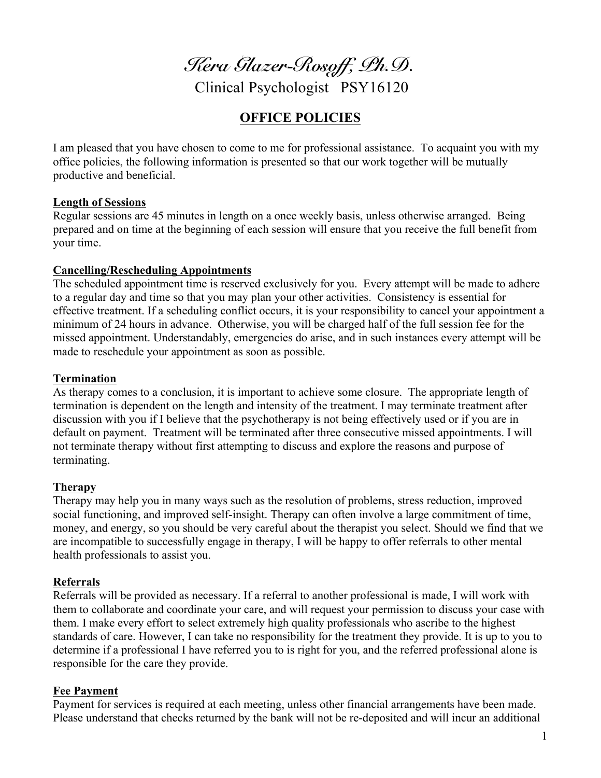*Kera Glazer-Rosoff, Ph.D.*

Clinical Psychologist PSY16120

# **OFFICE POLICIES**

I am pleased that you have chosen to come to me for professional assistance. To acquaint you with my office policies, the following information is presented so that our work together will be mutually productive and beneficial.

#### **Length of Sessions**

Regular sessions are 45 minutes in length on a once weekly basis, unless otherwise arranged. Being prepared and on time at the beginning of each session will ensure that you receive the full benefit from your time.

#### **Cancelling/Rescheduling Appointments**

The scheduled appointment time is reserved exclusively for you. Every attempt will be made to adhere to a regular day and time so that you may plan your other activities. Consistency is essential for effective treatment. If a scheduling conflict occurs, it is your responsibility to cancel your appointment a minimum of 24 hours in advance. Otherwise, you will be charged half of the full session fee for the missed appointment. Understandably, emergencies do arise, and in such instances every attempt will be made to reschedule your appointment as soon as possible.

#### **Termination**

As therapy comes to a conclusion, it is important to achieve some closure. The appropriate length of termination is dependent on the length and intensity of the treatment. I may terminate treatment after discussion with you if I believe that the psychotherapy is not being effectively used or if you are in default on payment. Treatment will be terminated after three consecutive missed appointments. I will not terminate therapy without first attempting to discuss and explore the reasons and purpose of terminating.

#### **Therapy**

Therapy may help you in many ways such as the resolution of problems, stress reduction, improved social functioning, and improved self-insight. Therapy can often involve a large commitment of time, money, and energy, so you should be very careful about the therapist you select. Should we find that we are incompatible to successfully engage in therapy, I will be happy to offer referrals to other mental health professionals to assist you.

#### **Referrals**

Referrals will be provided as necessary. If a referral to another professional is made, I will work with them to collaborate and coordinate your care, and will request your permission to discuss your case with them. I make every effort to select extremely high quality professionals who ascribe to the highest standards of care. However, I can take no responsibility for the treatment they provide. It is up to you to determine if a professional I have referred you to is right for you, and the referred professional alone is responsible for the care they provide.

#### **Fee Payment**

Payment for services is required at each meeting, unless other financial arrangements have been made. Please understand that checks returned by the bank will not be re-deposited and will incur an additional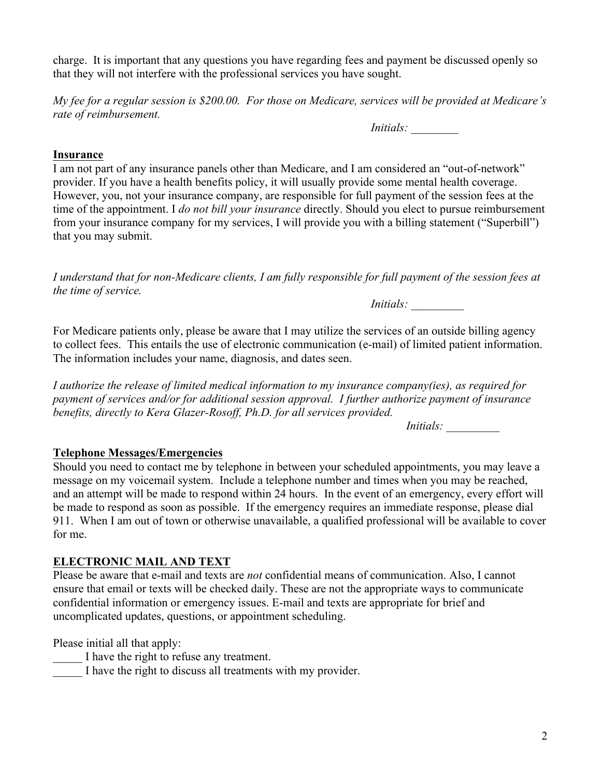charge. It is important that any questions you have regarding fees and payment be discussed openly so that they will not interfere with the professional services you have sought.

*My fee for a regular session is \$200.00. For those on Medicare, services will be provided at Medicare's rate of reimbursement.*

*Initials:* 

### **Insurance**

I am not part of any insurance panels other than Medicare, and I am considered an "out-of-network" provider. If you have a health benefits policy, it will usually provide some mental health coverage. However, you, not your insurance company, are responsible for full payment of the session fees at the time of the appointment. I *do not bill your insurance* directly. Should you elect to pursue reimbursement from your insurance company for my services, I will provide you with a billing statement ("Superbill") that you may submit.

*I understand that for non-Medicare clients, I am fully responsible for full payment of the session fees at the time of service.*

 *Initials: \_\_\_\_\_\_\_\_\_*

For Medicare patients only, please be aware that I may utilize the services of an outside billing agency to collect fees. This entails the use of electronic communication (e-mail) of limited patient information. The information includes your name, diagnosis, and dates seen.

*I authorize the release of limited medical information to my insurance company(ies), as required for payment of services and/or for additional session approval. I further authorize payment of insurance benefits, directly to Kera Glazer-Rosoff, Ph.D. for all services provided.* 

*Initials: \_\_\_\_\_\_\_\_\_*

## **Telephone Messages/Emergencies**

Should you need to contact me by telephone in between your scheduled appointments, you may leave a message on my voicemail system. Include a telephone number and times when you may be reached, and an attempt will be made to respond within 24 hours. In the event of an emergency, every effort will be made to respond as soon as possible. If the emergency requires an immediate response, please dial 911. When I am out of town or otherwise unavailable, a qualified professional will be available to cover for me.

## **ELECTRONIC MAIL AND TEXT**

Please be aware that e-mail and texts are *not* confidential means of communication. Also, I cannot ensure that email or texts will be checked daily. These are not the appropriate ways to communicate confidential information or emergency issues. E-mail and texts are appropriate for brief and uncomplicated updates, questions, or appointment scheduling.

Please initial all that apply:

I have the right to refuse any treatment.

I have the right to discuss all treatments with my provider.